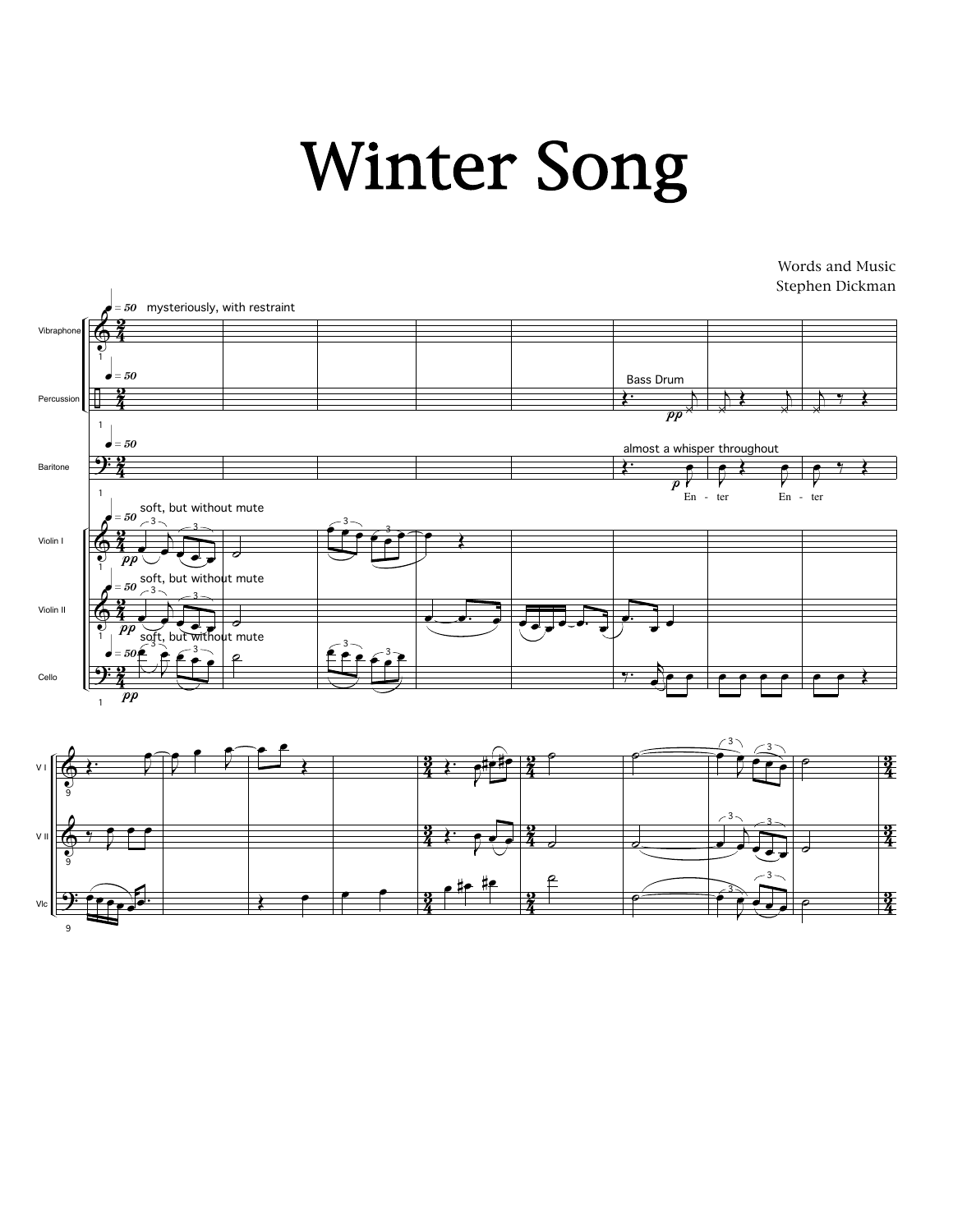## Winter Song

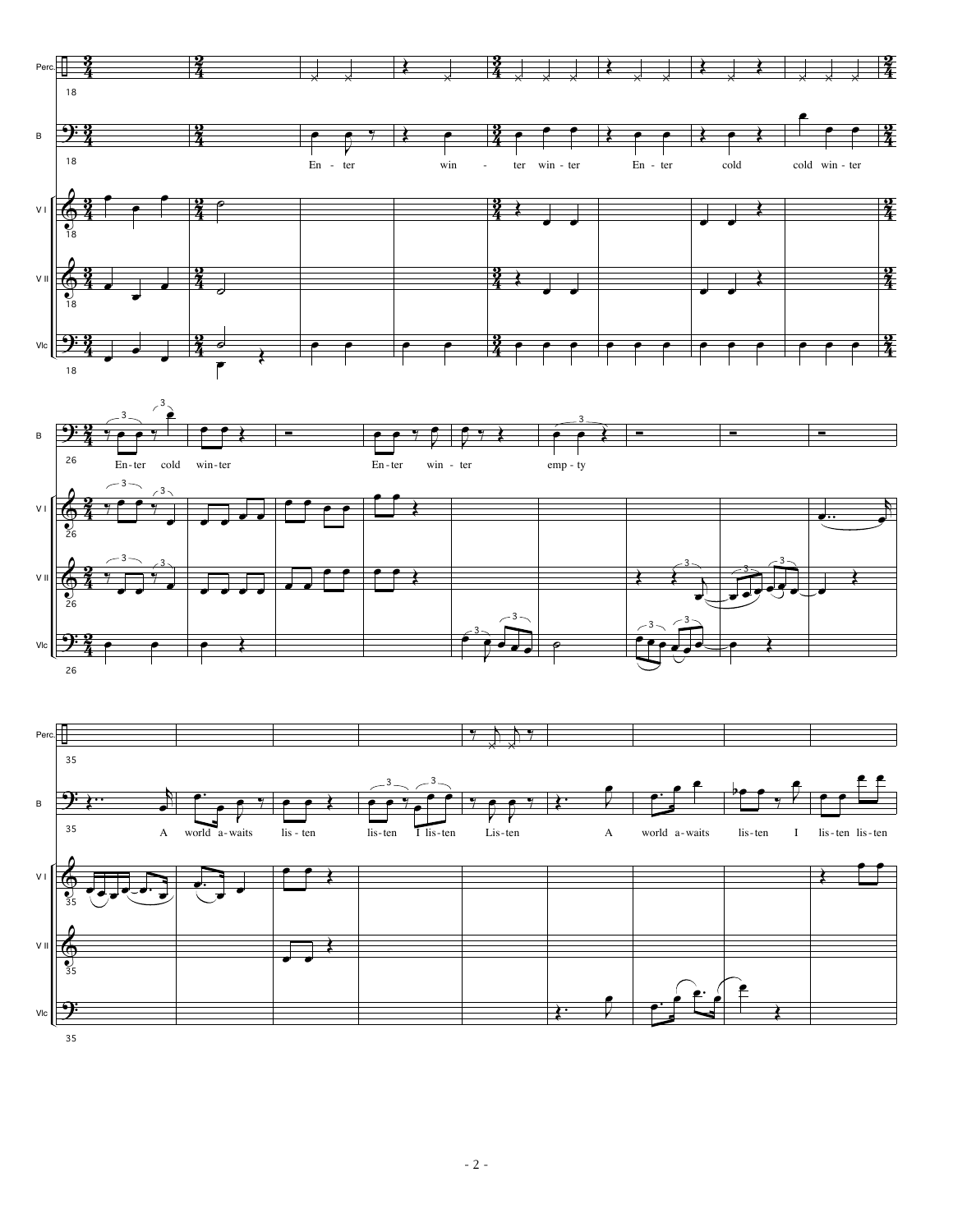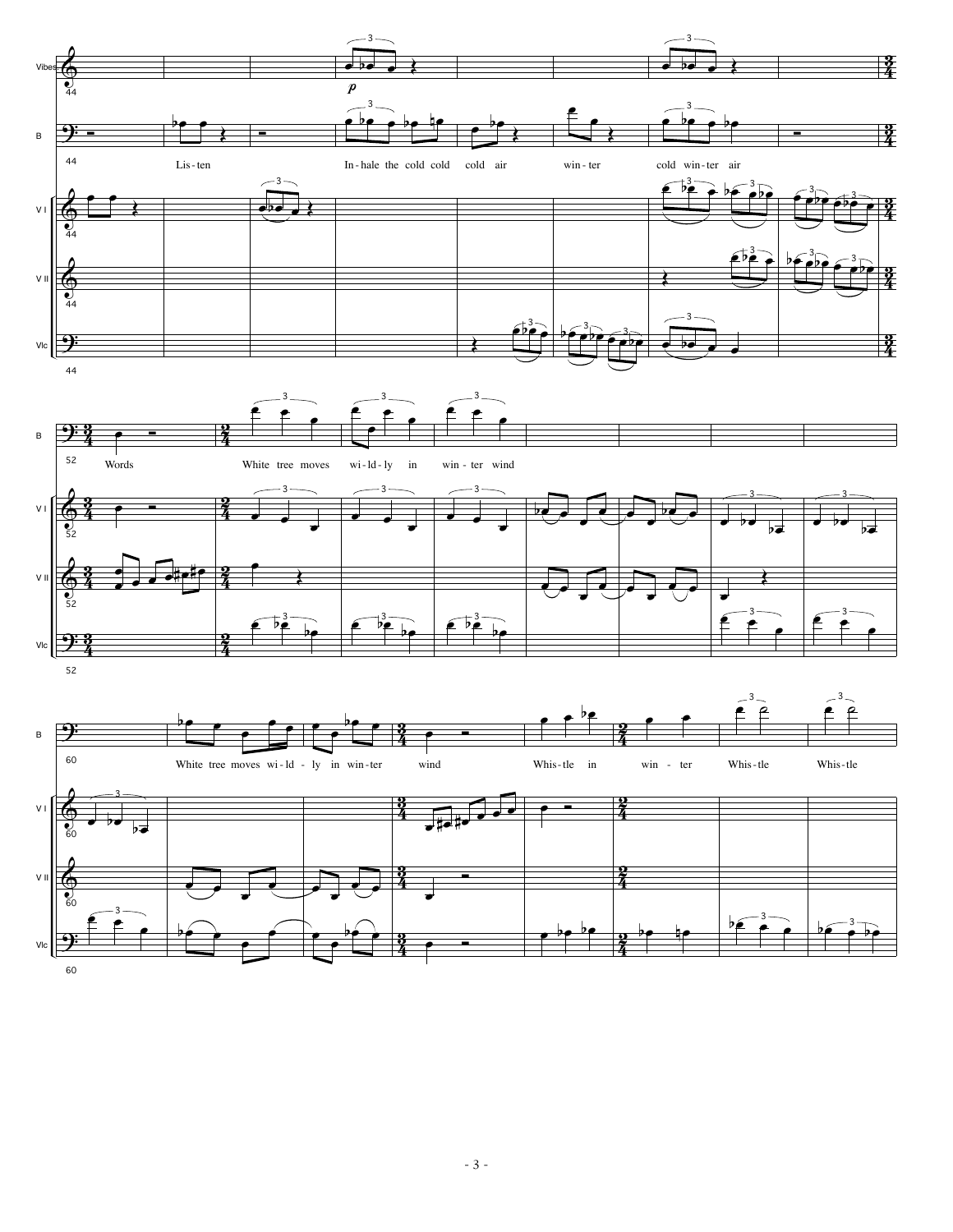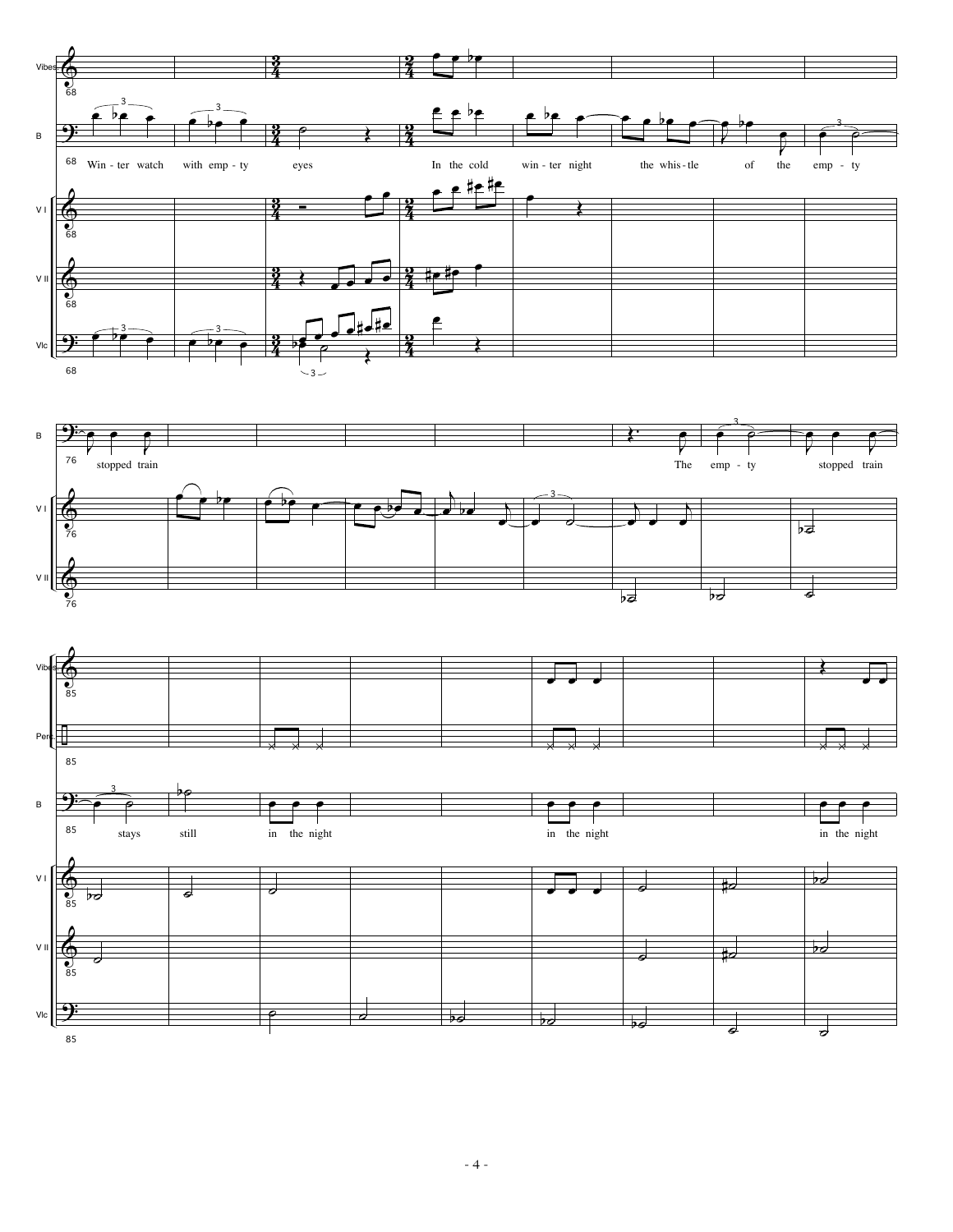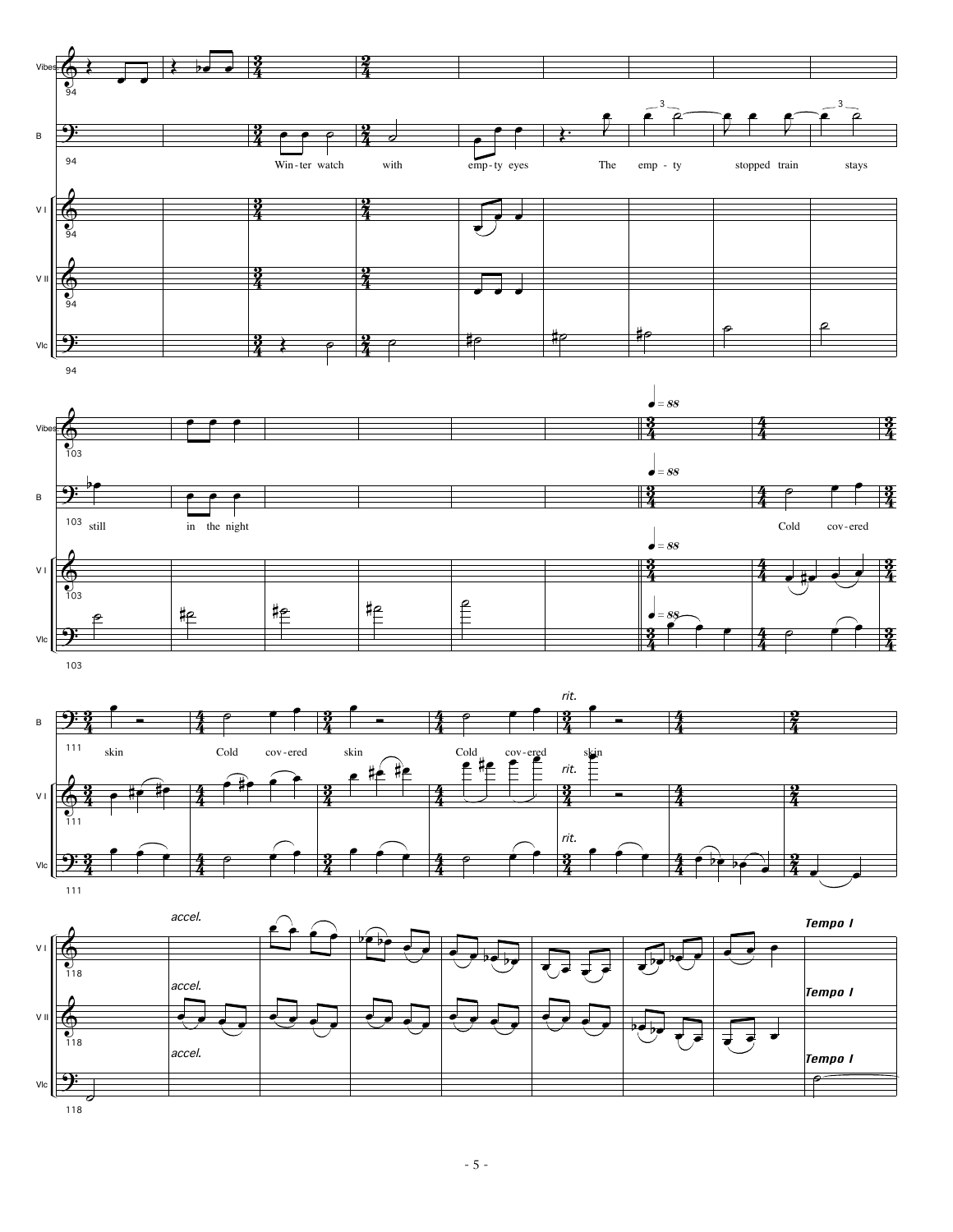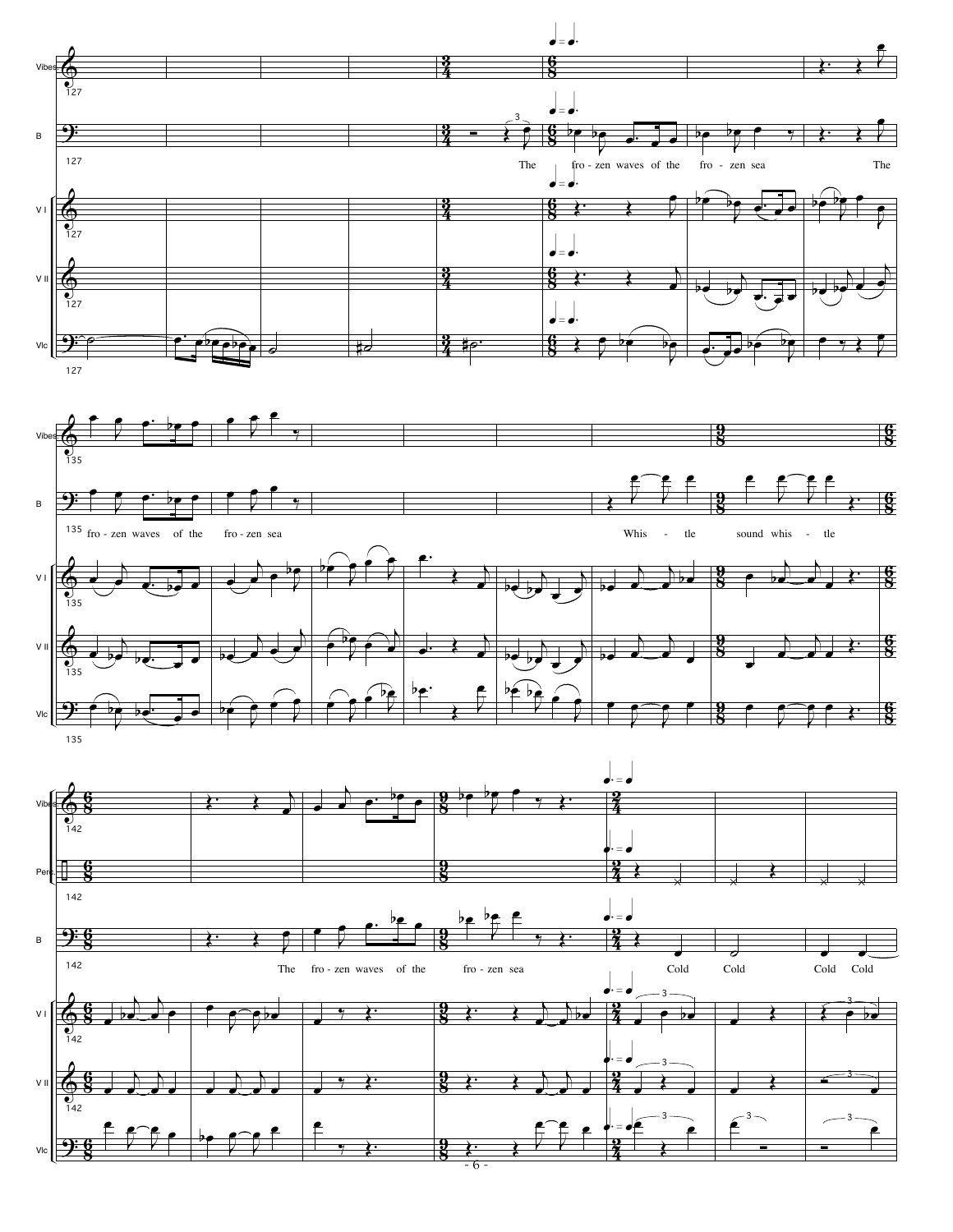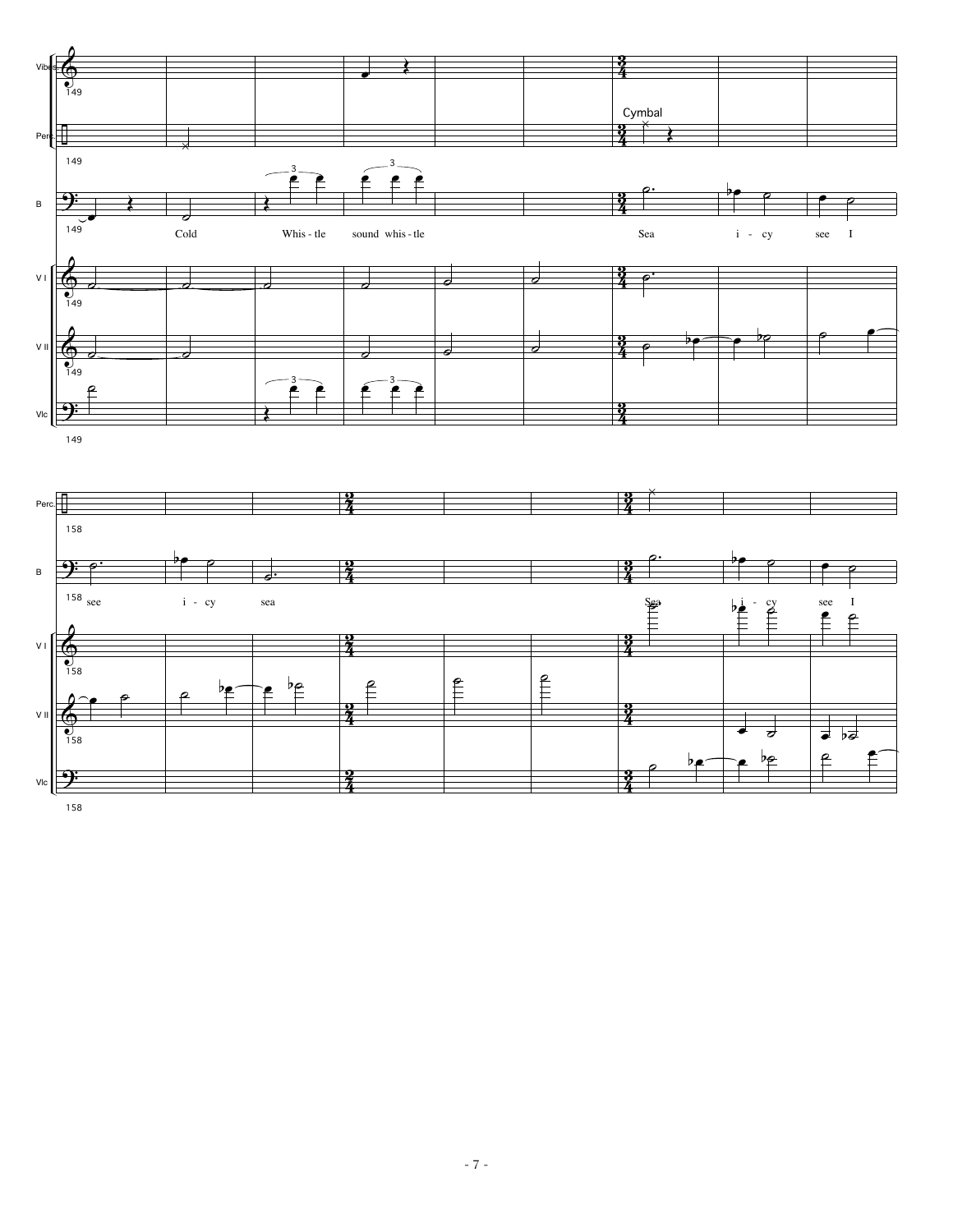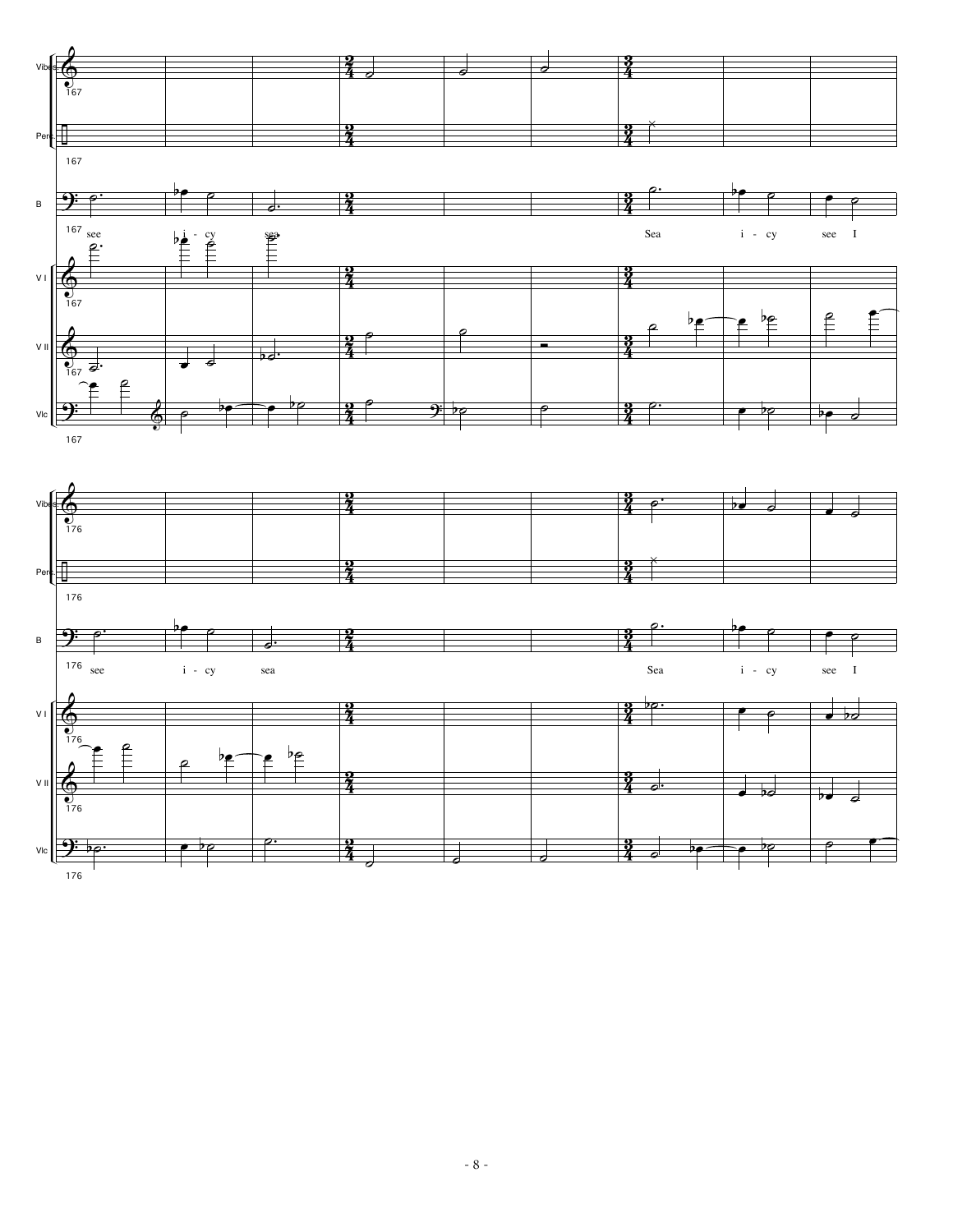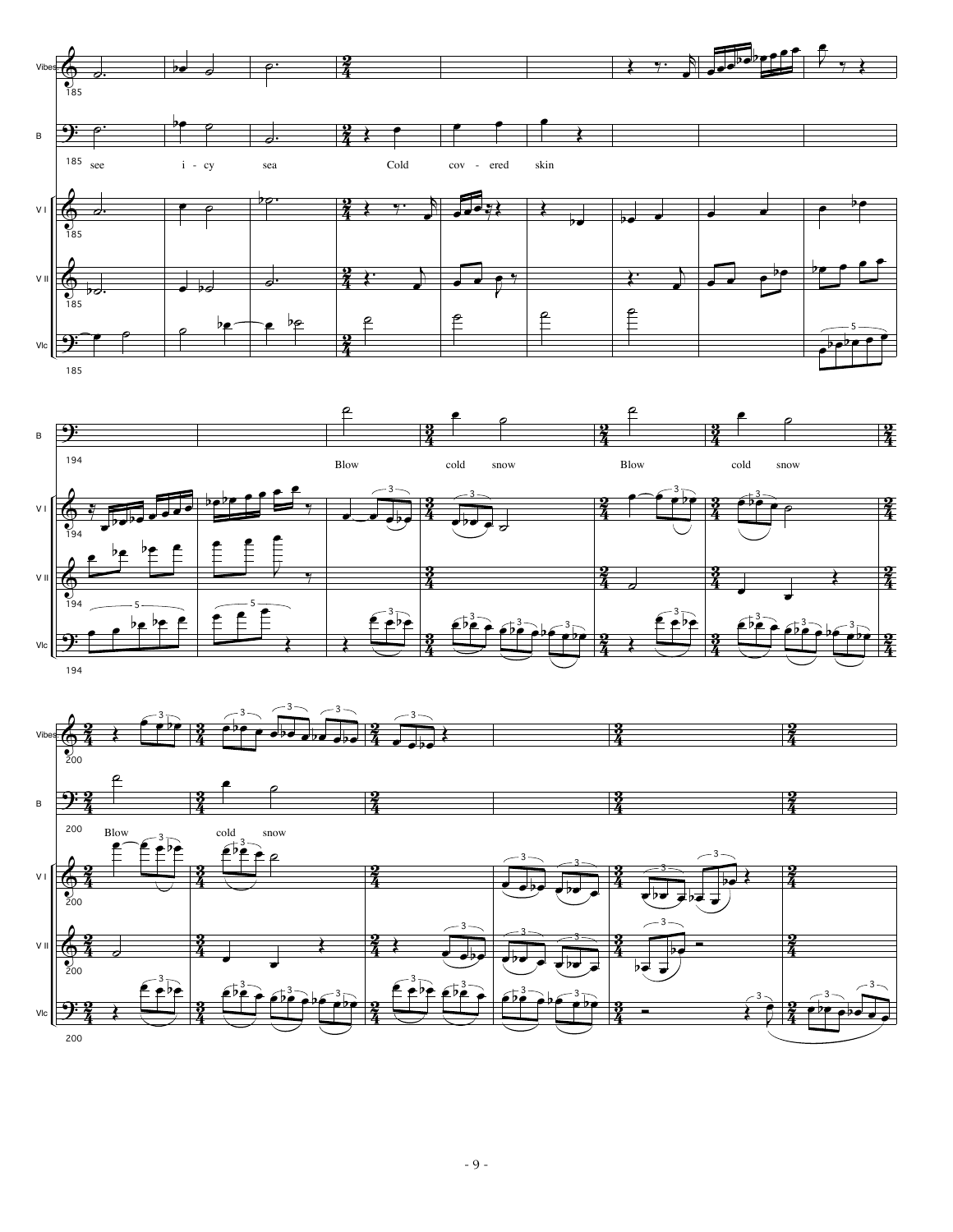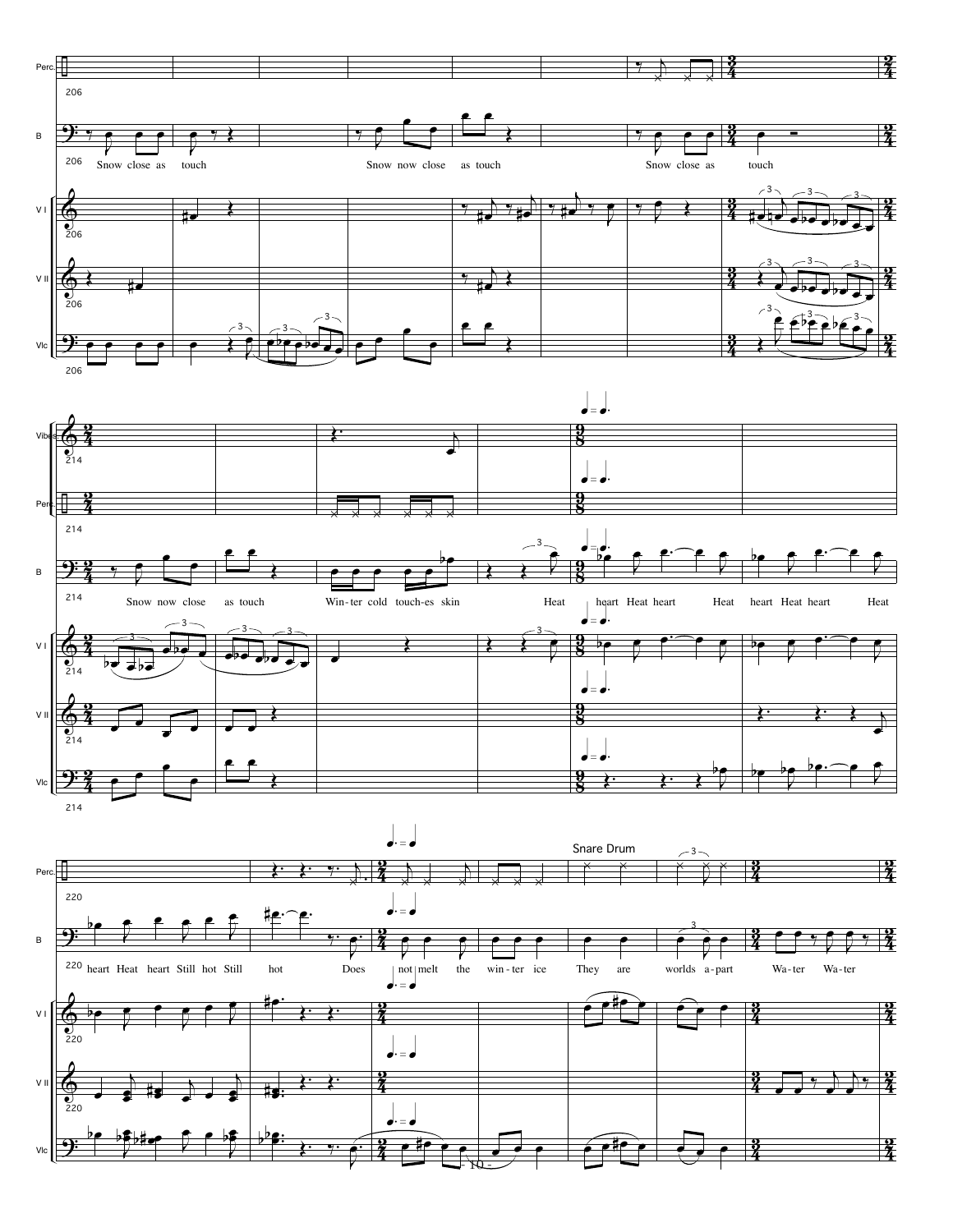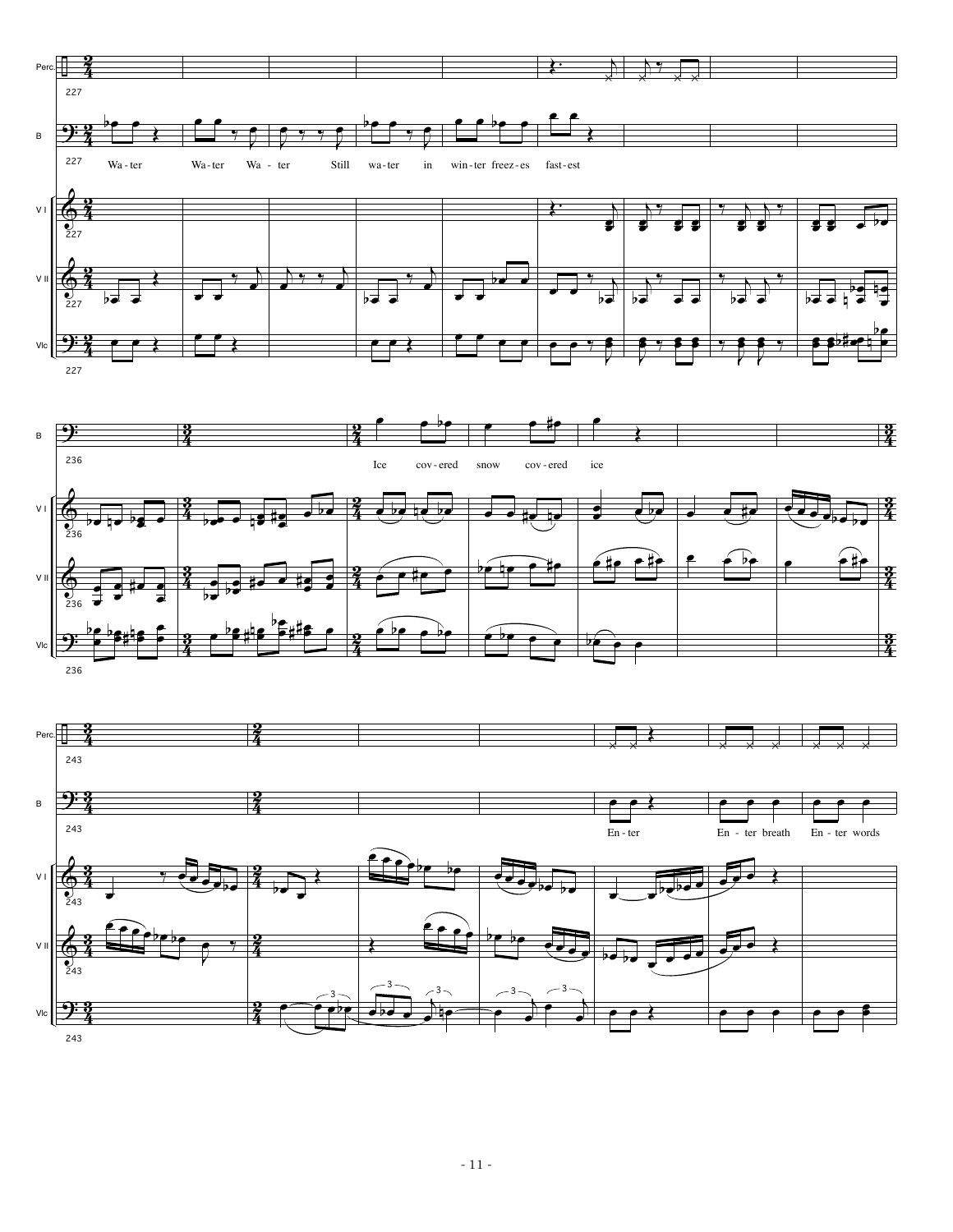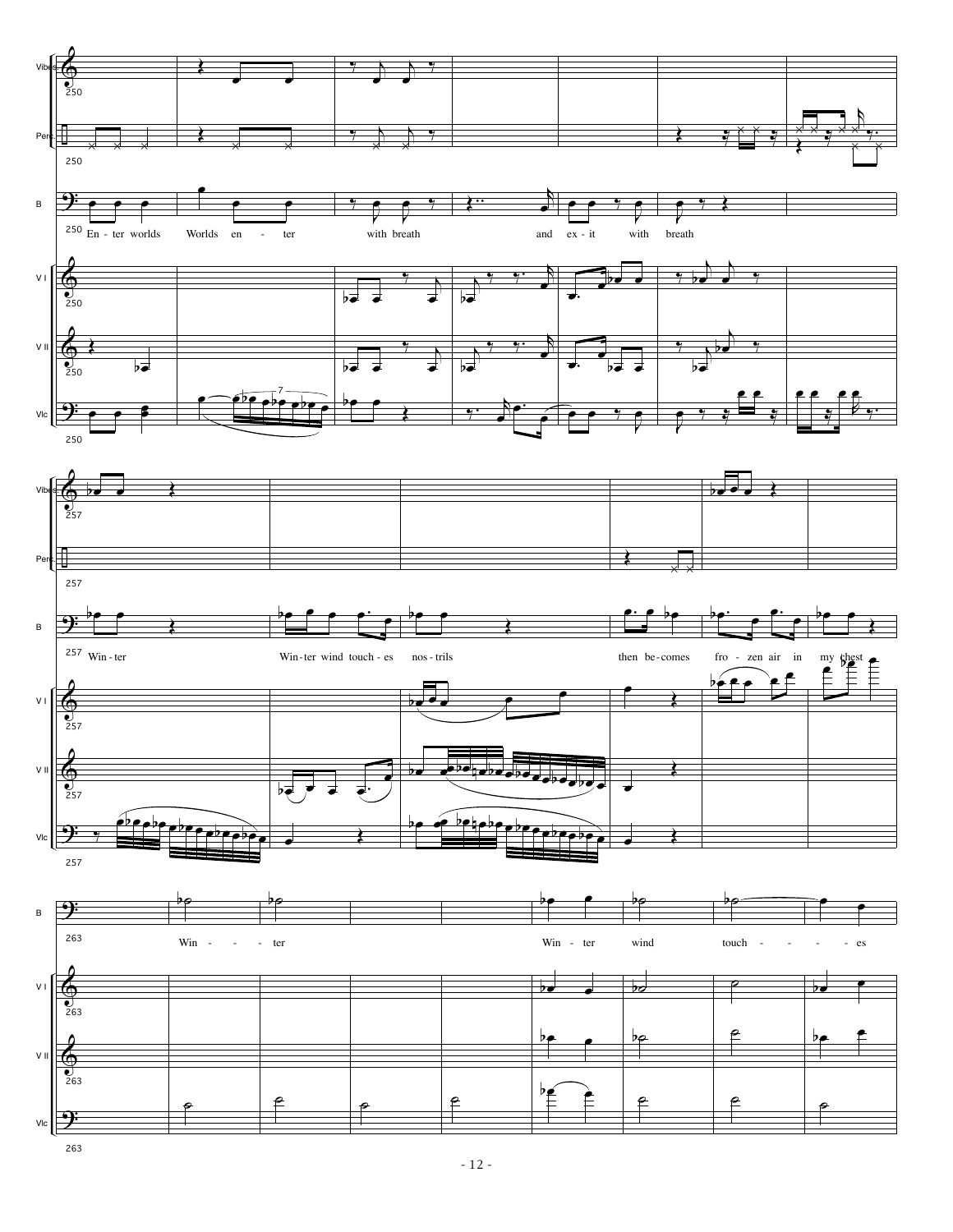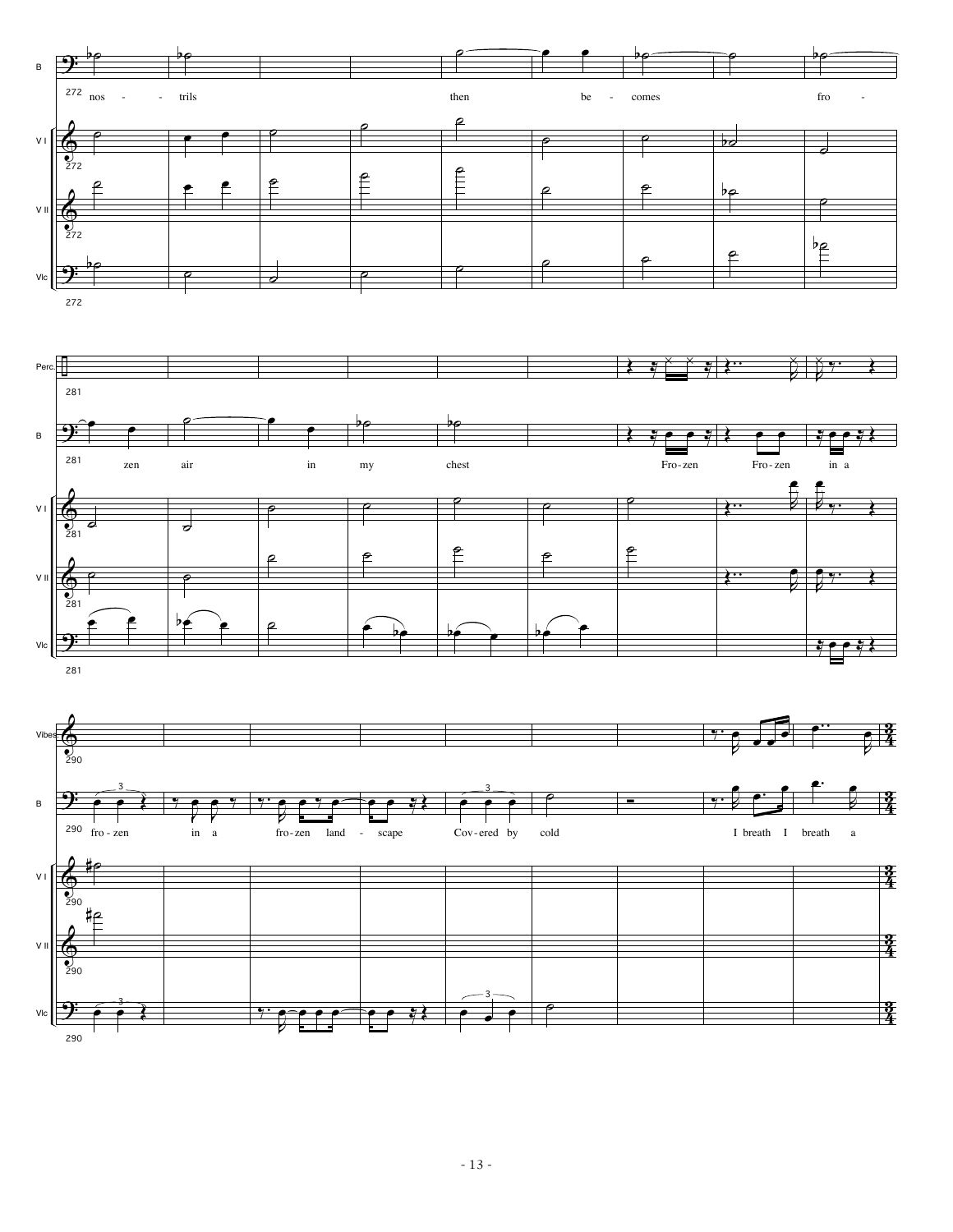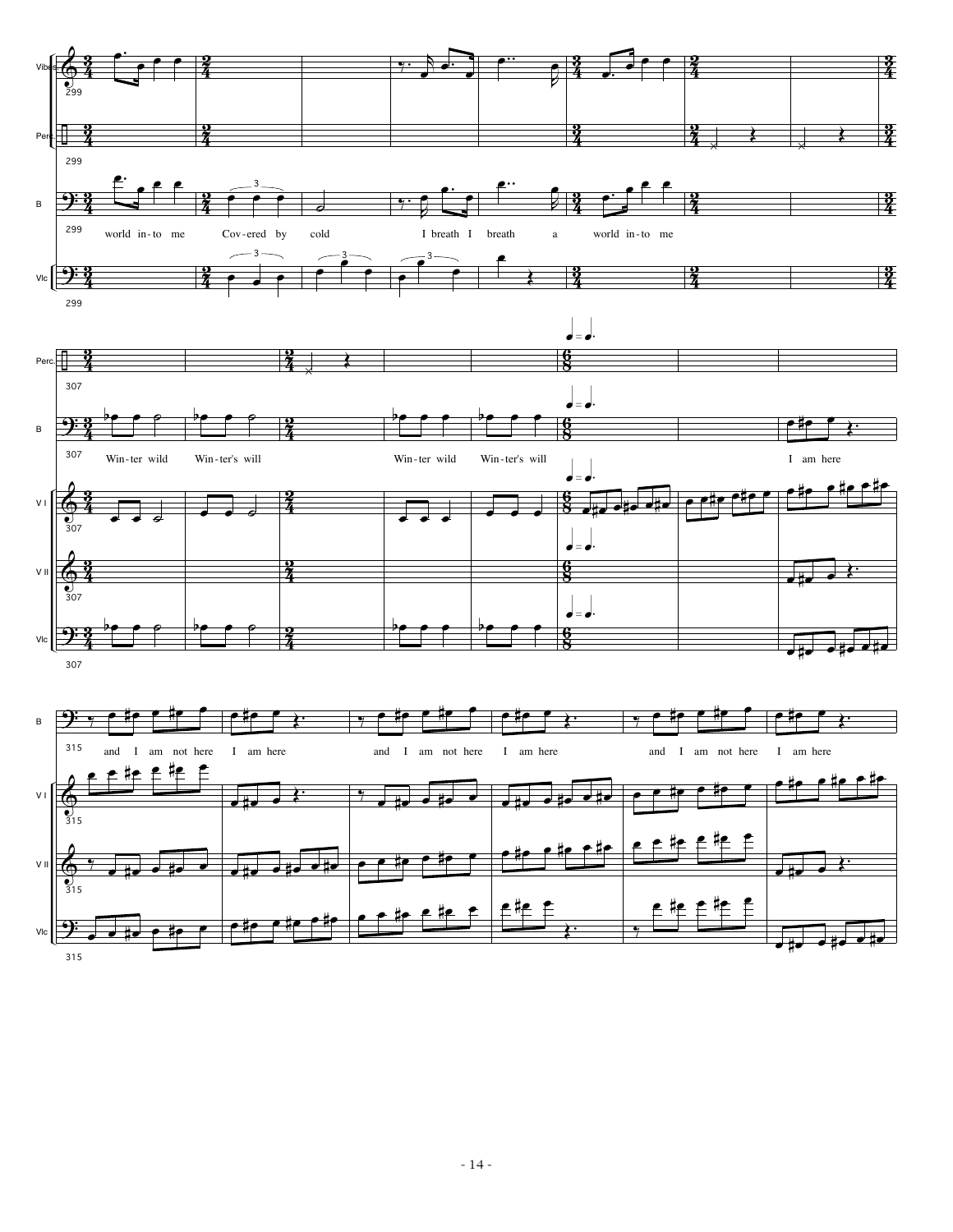